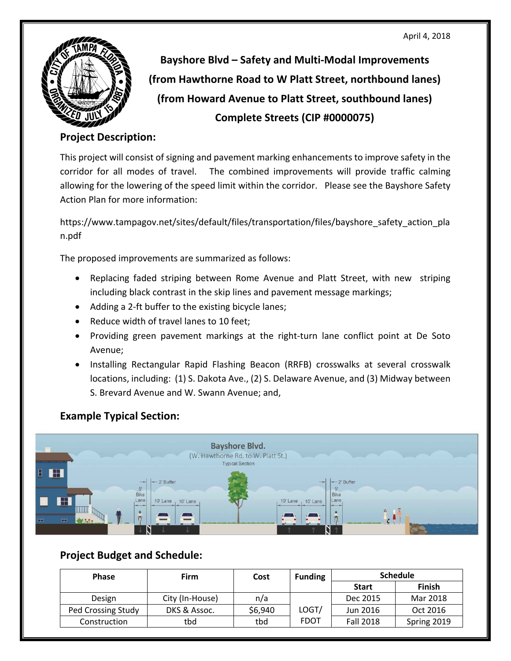

**Bayshore Blvd – Safety and Multi‐Modal Improvements (from Hawthorne Road to W Platt Street, northbound lanes) (from Howard Avenue to Platt Street, southbound lanes) Complete Streets (CIP #0000075)** 

## **Project Description:**

 This project will consist of signing and pavement marking enhancements to improve safety in the corridor for all modes of travel. The combined improvements will provide traffic calming allowing for the lowering of the speed limit within the corridor. Please see the Bayshore Safety Action Plan for more information:

https://www.tampagov.net/sites/default/files/transportation/files/bayshore\_safety\_action\_pla n.pdf

The proposed improvements are summarized as follows:

- Replacing faded striping between Rome Avenue and Platt Street, with new striping including black contrast in the skip lines and pavement message markings;
- Adding a 2-ft buffer to the existing bicycle lanes;
- Reduce width of travel lanes to 10 feet;
- Providing green pavement markings at the right-turn lane conflict point at De Soto Avenue;
- Installing Rectangular Rapid Flashing Beacon (RRFB) crosswalks at several crosswalk locations, including: (1) S. Dakota Ave., (2) S. Delaware Avenue, and (3) Midway between S. Brevard Avenue and W. Swann Avenue; and,

## **Example Typical Section:**



## **Project Budget and Schedule:**

| <b>Phase</b>       | <b>Firm</b>     | Cost    | <b>Funding</b> | <b>Schedule</b>  |               |
|--------------------|-----------------|---------|----------------|------------------|---------------|
|                    |                 |         |                | <b>Start</b>     | <b>Finish</b> |
| Design             | City (In-House) | n/a     |                | Dec 2015         | Mar 2018      |
| Ped Crossing Study | DKS & Assoc.    | \$6,940 | LOGT/          | Jun 2016         | Oct 2016      |
| Construction       | tbd             | tbd     | <b>FDOT</b>    | <b>Fall 2018</b> | Spring 2019   |